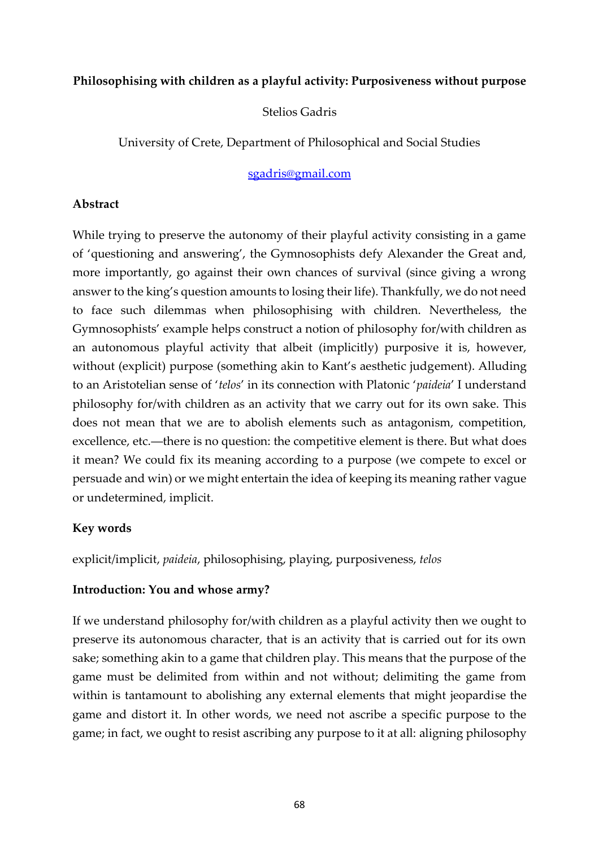## **Philosophising with children as a playful activity: Purposiveness without purpose**

### Stelios Gadris

University of Crete, Department of Philosophical and Social Studies

### [sgadris@gmail.com](mailto:sgadris@gmail.com)

## **Abstract**

While trying to preserve the autonomy of their playful activity consisting in a game of 'questioning and answering', the Gymnosophists defy Alexander the Great and, more importantly, go against their own chances of survival (since giving a wrong answer to the king's question amounts to losing their life). Thankfully, we do not need to face such dilemmas when philosophising with children. Nevertheless, the Gymnosophists' example helps construct a notion of philosophy for/with children as an autonomous playful activity that albeit (implicitly) purposive it is, however, without (explicit) purpose (something akin to Kant's aesthetic judgement). Alluding to an Aristotelian sense of '*telos*' in its connection with Platonic '*paideia*' I understand philosophy for/with children as an activity that we carry out for its own sake. This does not mean that we are to abolish elements such as antagonism, competition, excellence, etc.―there is no question: the competitive element is there. But what does it mean? We could fix its meaning according to a purpose (we compete to excel or persuade and win) or we might entertain the idea of keeping its meaning rather vague or undetermined, implicit.

## **Key words**

explicit/implicit, *paideia*, philosophising, playing, purposiveness, *telos*

#### **Introduction: You and whose army?**

If we understand philosophy for/with children as a playful activity then we ought to preserve its autonomous character, that is an activity that is carried out for its own sake; something akin to a game that children play. This means that the purpose of the game must be delimited from within and not without; delimiting the game from within is tantamount to abolishing any external elements that might jeopardise the game and distort it. In other words, we need not ascribe a specific purpose to the game; in fact, we ought to resist ascribing any purpose to it at all: aligning philosophy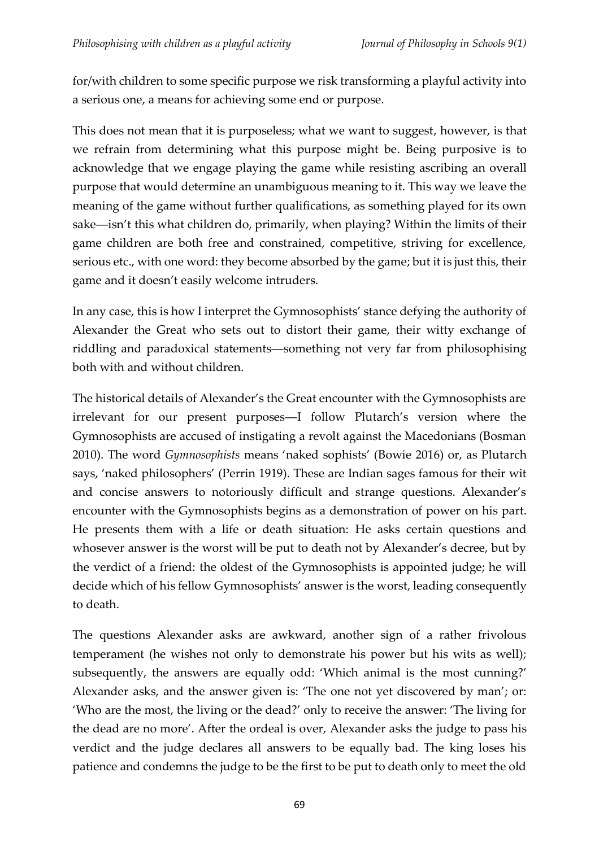for/with children to some specific purpose we risk transforming a playful activity into a serious one, a means for achieving some end or purpose.

This does not mean that it is purposeless; what we want to suggest, however, is that we refrain from determining what this purpose might be. Being purposive is to acknowledge that we engage playing the game while resisting ascribing an overall purpose that would determine an unambiguous meaning to it. This way we leave the meaning of the game without further qualifications, as something played for its own sake―isn't this what children do, primarily, when playing? Within the limits of their game children are both free and constrained, competitive, striving for excellence, serious etc., with one word: they become absorbed by the game; but it is just this, their game and it doesn't easily welcome intruders.

In any case, this is how I interpret the Gymnosophists' stance defying the authority of Alexander the Great who sets out to distort their game, their witty exchange of riddling and paradoxical statements―something not very far from philosophising both with and without children.

The historical details of Alexander's the Great encounter with the Gymnosophists are irrelevant for our present purposes―I follow Plutarch's version where the Gymnosophists are accused of instigating a revolt against the Macedonians (Bosman 2010). The word *Gymnosophists* means 'naked sophists' (Bowie 2016) or, as Plutarch says, 'naked philosophers' (Perrin 1919). These are Indian sages famous for their wit and concise answers to notoriously difficult and strange questions. Alexander's encounter with the Gymnosophists begins as a demonstration of power on his part. He presents them with a life or death situation: He asks certain questions and whosever answer is the worst will be put to death not by Alexander's decree, but by the verdict of a friend: the oldest of the Gymnosophists is appointed judge; he will decide which of his fellow Gymnosophists' answer is the worst, leading consequently to death.

The questions Alexander asks are awkward, another sign of a rather frivolous temperament (he wishes not only to demonstrate his power but his wits as well); subsequently, the answers are equally odd: 'Which animal is the most cunning?' Alexander asks, and the answer given is: 'The one not yet discovered by man'; or: 'Who are the most, the living or the dead?' only to receive the answer: 'The living for the dead are no more'. After the ordeal is over, Alexander asks the judge to pass his verdict and the judge declares all answers to be equally bad. The king loses his patience and condemns the judge to be the first to be put to death only to meet the old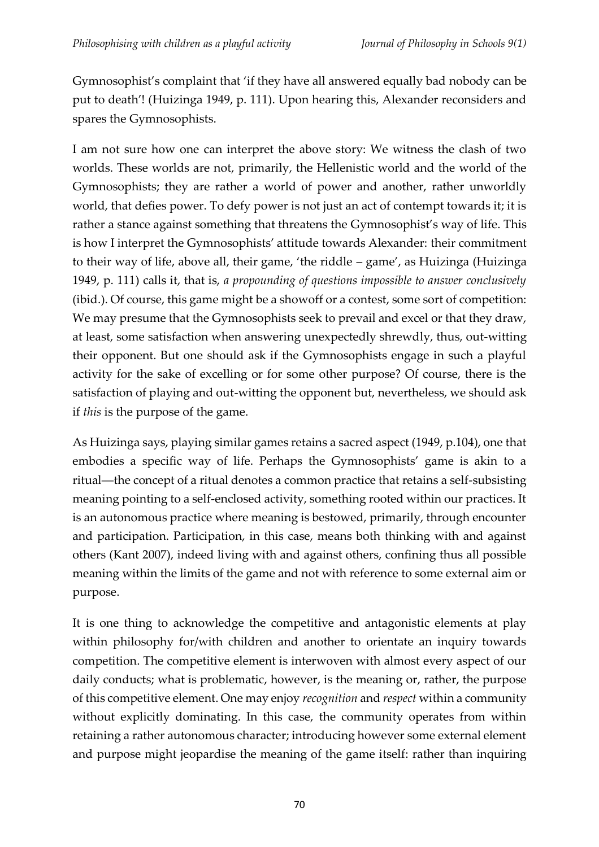Gymnosophist's complaint that 'if they have all answered equally bad nobody can be put to death'! (Huizinga 1949, p. 111). Upon hearing this, Alexander reconsiders and spares the Gymnosophists.

I am not sure how one can interpret the above story: We witness the clash of two worlds. These worlds are not, primarily, the Hellenistic world and the world of the Gymnosophists; they are rather a world of power and another, rather unworldly world, that defies power. To defy power is not just an act of contempt towards it; it is rather a stance against something that threatens the Gymnosophist's way of life. This is how I interpret the Gymnosophists' attitude towards Alexander: their commitment to their way of life, above all, their game, 'the riddle – game', as Huizinga (Huizinga 1949, p. 111) calls it, that is, *a propounding of questions impossible to answer conclusively* (ibid.). Of course, this game might be a showoff or a contest, some sort of competition: We may presume that the Gymnosophists seek to prevail and excel or that they draw, at least, some satisfaction when answering unexpectedly shrewdly, thus, out-witting their opponent. But one should ask if the Gymnosophists engage in such a playful activity for the sake of excelling or for some other purpose? Of course, there is the satisfaction of playing and out-witting the opponent but, nevertheless, we should ask if *this* is the purpose of the game.

As Huizinga says, playing similar games retains a sacred aspect (1949, p.104), one that embodies a specific way of life. Perhaps the Gymnosophists' game is akin to a ritual―the concept of a ritual denotes a common practice that retains a self-subsisting meaning pointing to a self-enclosed activity, something rooted within our practices. It is an autonomous practice where meaning is bestowed, primarily, through encounter and participation. Participation, in this case, means both thinking with and against others (Kant 2007), indeed living with and against others, confining thus all possible meaning within the limits of the game and not with reference to some external aim or purpose.

It is one thing to acknowledge the competitive and antagonistic elements at play within philosophy for/with children and another to orientate an inquiry towards competition. The competitive element is interwoven with almost every aspect of our daily conducts; what is problematic, however, is the meaning or, rather, the purpose of this competitive element. One may enjoy *recognition* and *respect* within a community without explicitly dominating. In this case, the community operates from within retaining a rather autonomous character; introducing however some external element and purpose might jeopardise the meaning of the game itself: rather than inquiring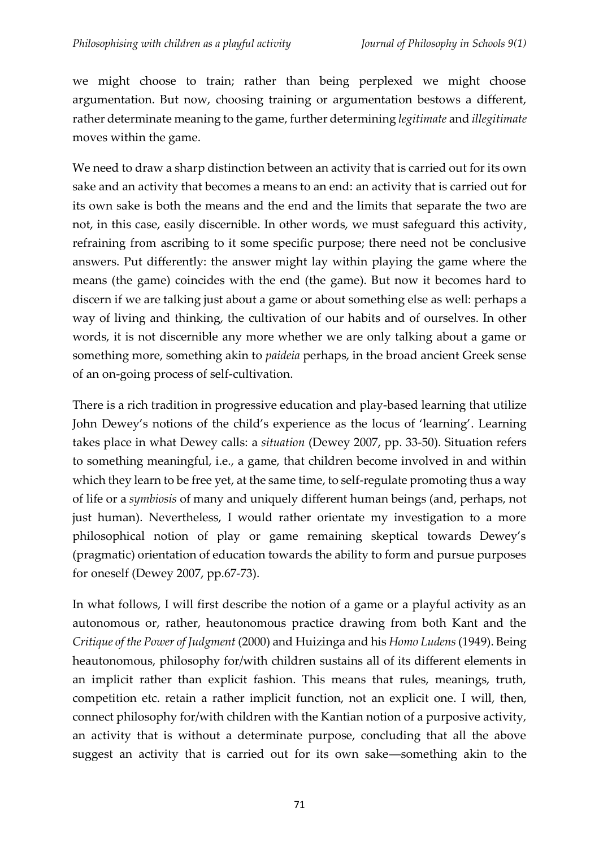we might choose to train; rather than being perplexed we might choose argumentation. But now, choosing training or argumentation bestows a different, rather determinate meaning to the game, further determining *legitimate* and *illegitimate*  moves within the game.

We need to draw a sharp distinction between an activity that is carried out for its own sake and an activity that becomes a means to an end: an activity that is carried out for its own sake is both the means and the end and the limits that separate the two are not, in this case, easily discernible. In other words, we must safeguard this activity, refraining from ascribing to it some specific purpose; there need not be conclusive answers. Put differently: the answer might lay within playing the game where the means (the game) coincides with the end (the game). But now it becomes hard to discern if we are talking just about a game or about something else as well: perhaps a way of living and thinking, the cultivation of our habits and of ourselves. In other words, it is not discernible any more whether we are only talking about a game or something more, something akin to *paideia* perhaps, in the broad ancient Greek sense of an on-going process of self-cultivation.

There is a rich tradition in progressive education and play-based learning that utilize John Dewey's notions of the child's experience as the locus of 'learning'. Learning takes place in what Dewey calls: a *situation* (Dewey 2007, pp. 33-50). Situation refers to something meaningful, i.e., a game, that children become involved in and within which they learn to be free yet, at the same time, to self-regulate promoting thus a way of life or a *symbiosis* of many and uniquely different human beings (and, perhaps, not just human). Nevertheless, I would rather orientate my investigation to a more philosophical notion of play or game remaining skeptical towards Dewey's (pragmatic) orientation of education towards the ability to form and pursue purposes for oneself (Dewey 2007, pp.67-73).

In what follows, I will first describe the notion of a game or a playful activity as an autonomous or, rather, heautonomous practice drawing from both Kant and the *Critique of the Power of Judgment* (2000) and Huizinga and his *Homo Ludens* (1949). Being heautonomous, philosophy for/with children sustains all of its different elements in an implicit rather than explicit fashion. This means that rules, meanings, truth, competition etc. retain a rather implicit function, not an explicit one. I will, then, connect philosophy for/with children with the Kantian notion of a purposive activity, an activity that is without a determinate purpose, concluding that all the above suggest an activity that is carried out for its own sake―something akin to the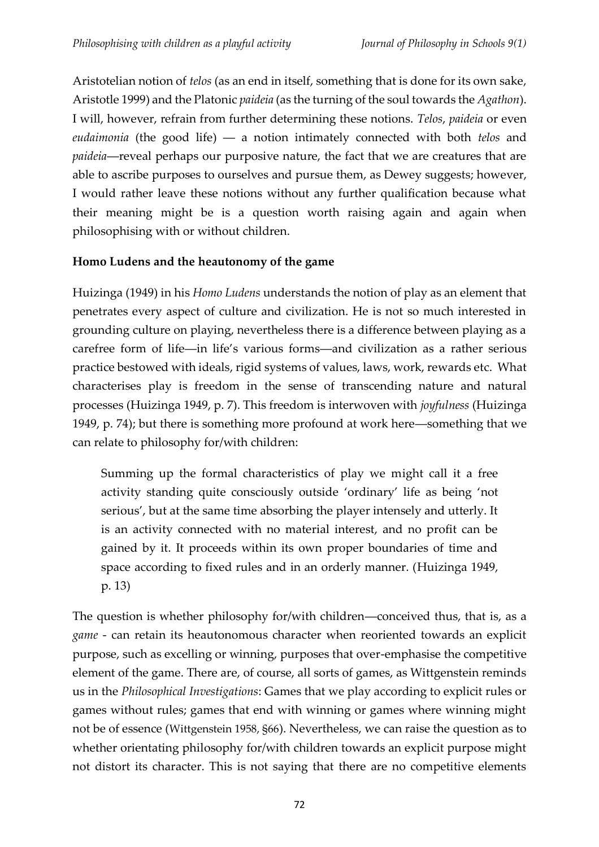Aristotelian notion of *telos* (as an end in itself, something that is done for its own sake, Aristotle 1999) and the Platonic *paideia* (as the turning of the soul towards the *Agathon*). I will, however, refrain from further determining these notions. *Telos*, *paideia* or even *eudaimonia* (the good life) ― a notion intimately connected with both *telos* and *paideia*―reveal perhaps our purposive nature, the fact that we are creatures that are able to ascribe purposes to ourselves and pursue them, as Dewey suggests; however, I would rather leave these notions without any further qualification because what their meaning might be is a question worth raising again and again when philosophising with or without children.

# **Homo Ludens and the heautonomy of the game**

Huizinga (1949) in his *Homo Ludens* understands the notion of play as an element that penetrates every aspect of culture and civilization. He is not so much interested in grounding culture on playing, nevertheless there is a difference between playing as a carefree form of life―in life's various forms―and civilization as a rather serious practice bestowed with ideals, rigid systems of values, laws, work, rewards etc. What characterises play is freedom in the sense of transcending nature and natural processes (Huizinga 1949, p. 7). This freedom is interwoven with *joyfulness* (Huizinga 1949, p. 74); but there is something more profound at work here―something that we can relate to philosophy for/with children:

Summing up the formal characteristics of play we might call it a free activity standing quite consciously outside 'ordinary' life as being 'not serious', but at the same time absorbing the player intensely and utterly. It is an activity connected with no material interest, and no profit can be gained by it. It proceeds within its own proper boundaries of time and space according to fixed rules and in an orderly manner. (Huizinga 1949, p. 13)

The question is whether philosophy for/with children―conceived thus, that is, as a *game* - can retain its heautonomous character when reoriented towards an explicit purpose, such as excelling or winning, purposes that over-emphasise the competitive element of the game. There are, of course, all sorts of games, as Wittgenstein reminds us in the *Philosophical Investigations*: Games that we play according to explicit rules or games without rules; games that end with winning or games where winning might not be of essence (Wittgenstein 1958, §66). Nevertheless, we can raise the question as to whether orientating philosophy for/with children towards an explicit purpose might not distort its character. This is not saying that there are no competitive elements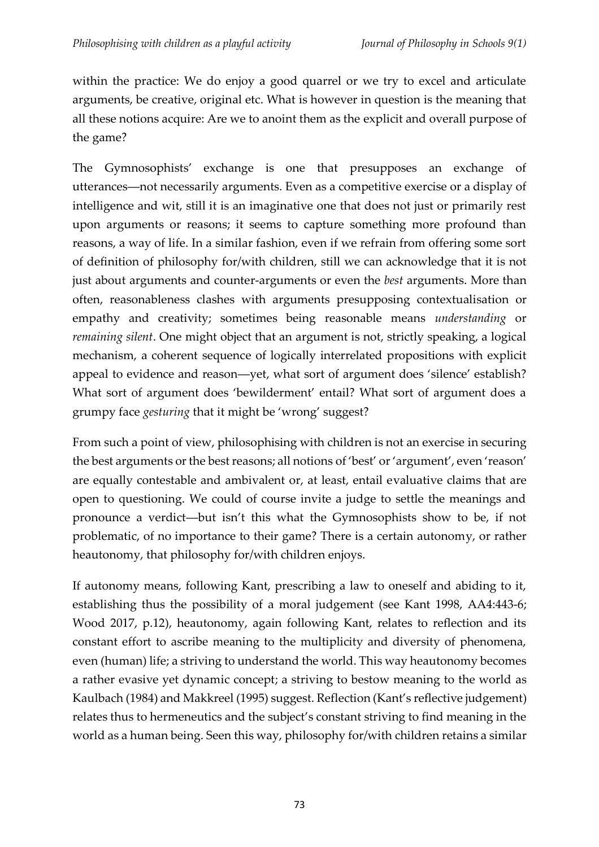within the practice: We do enjoy a good quarrel or we try to excel and articulate arguments, be creative, original etc. What is however in question is the meaning that all these notions acquire: Are we to anoint them as the explicit and overall purpose of the game?

The Gymnosophists' exchange is one that presupposes an exchange of utterances―not necessarily arguments. Even as a competitive exercise or a display of intelligence and wit, still it is an imaginative one that does not just or primarily rest upon arguments or reasons; it seems to capture something more profound than reasons, a way of life. In a similar fashion, even if we refrain from offering some sort of definition of philosophy for/with children, still we can acknowledge that it is not just about arguments and counter-arguments or even the *best* arguments. More than often, reasonableness clashes with arguments presupposing contextualisation or empathy and creativity; sometimes being reasonable means *understanding* or *remaining silent*. One might object that an argument is not, strictly speaking, a logical mechanism, a coherent sequence of logically interrelated propositions with explicit appeal to evidence and reason―yet, what sort of argument does 'silence' establish? What sort of argument does 'bewilderment' entail? What sort of argument does a grumpy face *gesturing* that it might be 'wrong' suggest?

From such a point of view, philosophising with children is not an exercise in securing the best arguments or the best reasons; all notions of 'best' or 'argument', even 'reason' are equally contestable and ambivalent or, at least, entail evaluative claims that are open to questioning. We could of course invite a judge to settle the meanings and pronounce a verdict―but isn't this what the Gymnosophists show to be, if not problematic, of no importance to their game? There is a certain autonomy, or rather heautonomy, that philosophy for/with children enjoys.

If autonomy means, following Kant, prescribing a law to oneself and abiding to it, establishing thus the possibility of a moral judgement (see Kant 1998, AA4:443-6; Wood 2017, p.12), heautonomy, again following Kant, relates to reflection and its constant effort to ascribe meaning to the multiplicity and diversity of phenomena, even (human) life; a striving to understand the world. This way heautonomy becomes a rather evasive yet dynamic concept; a striving to bestow meaning to the world as Kaulbach (1984) and Makkreel (1995) suggest. Reflection (Kant's reflective judgement) relates thus to hermeneutics and the subject's constant striving to find meaning in the world as a human being. Seen this way, philosophy for/with children retains a similar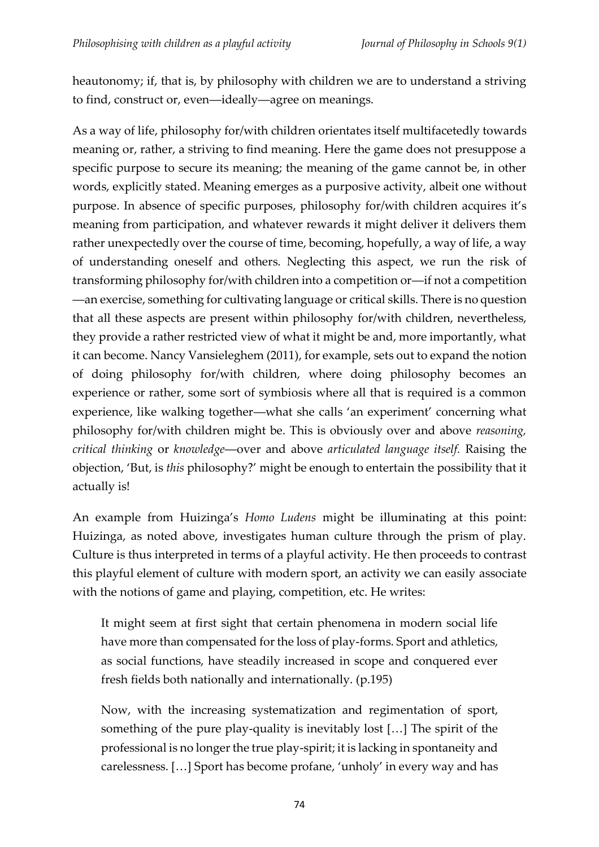heautonomy; if, that is, by philosophy with children we are to understand a striving to find, construct or, even―ideally―agree on meanings.

As a way of life, philosophy for/with children orientates itself multifacetedly towards meaning or, rather, a striving to find meaning. Here the game does not presuppose a specific purpose to secure its meaning; the meaning of the game cannot be, in other words, explicitly stated. Meaning emerges as a purposive activity, albeit one without purpose. In absence of specific purposes, philosophy for/with children acquires it's meaning from participation, and whatever rewards it might deliver it delivers them rather unexpectedly over the course of time, becoming, hopefully, a way of life, a way of understanding oneself and others. Neglecting this aspect, we run the risk of transforming philosophy for/with children into a competition or―if not a competition ―an exercise, something for cultivating language or critical skills. There is no question that all these aspects are present within philosophy for/with children, nevertheless, they provide a rather restricted view of what it might be and, more importantly, what it can become. Nancy Vansieleghem (2011), for example, sets out to expand the notion of doing philosophy for/with children, where doing philosophy becomes an experience or rather, some sort of symbiosis where all that is required is a common experience, like walking together―what she calls 'an experiment' concerning what philosophy for/with children might be. This is obviously over and above *reasoning, critical thinking* or *knowledge*―over and above *articulated language itself.* Raising the objection, 'But, is *this* philosophy?' might be enough to entertain the possibility that it actually is!

An example from Huizinga's *Homo Ludens* might be illuminating at this point: Huizinga, as noted above, investigates human culture through the prism of play. Culture is thus interpreted in terms of a playful activity. He then proceeds to contrast this playful element of culture with modern sport, an activity we can easily associate with the notions of game and playing, competition, etc. He writes:

It might seem at first sight that certain phenomena in modern social life have more than compensated for the loss of play-forms. Sport and athletics, as social functions, have steadily increased in scope and conquered ever fresh fields both nationally and internationally. (p.195)

Now, with the increasing systematization and regimentation of sport, something of the pure play-quality is inevitably lost […] The spirit of the professional is no longer the true play-spirit; it is lacking in spontaneity and carelessness. […] Sport has become profane, 'unholy' in every way and has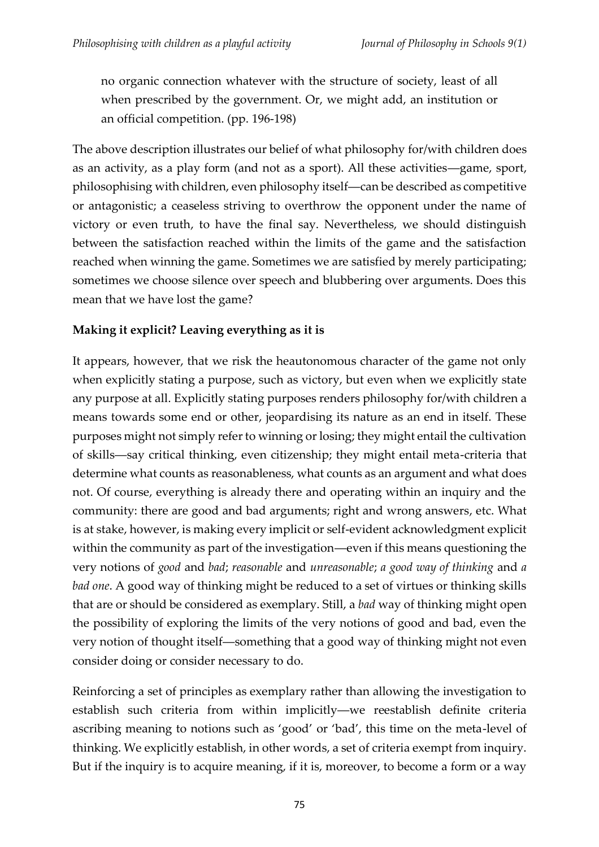no organic connection whatever with the structure of society, least of all when prescribed by the government. Or, we might add, an institution or an official competition. (pp. 196-198)

The above description illustrates our belief of what philosophy for/with children does as an activity, as a play form (and not as a sport). All these activities―game, sport, philosophising with children, even philosophy itself―can be described as competitive or antagonistic; a ceaseless striving to overthrow the opponent under the name of victory or even truth, to have the final say. Nevertheless, we should distinguish between the satisfaction reached within the limits of the game and the satisfaction reached when winning the game. Sometimes we are satisfied by merely participating; sometimes we choose silence over speech and blubbering over arguments. Does this mean that we have lost the game?

# **Making it explicit? Leaving everything as it is**

It appears, however, that we risk the heautonomous character of the game not only when explicitly stating a purpose, such as victory, but even when we explicitly state any purpose at all. Explicitly stating purposes renders philosophy for/with children a means towards some end or other, jeopardising its nature as an end in itself. These purposes might not simply refer to winning or losing; they might entail the cultivation of skills―say critical thinking, even citizenship; they might entail meta-criteria that determine what counts as reasonableness, what counts as an argument and what does not. Of course, everything is already there and operating within an inquiry and the community: there are good and bad arguments; right and wrong answers, etc. What is at stake, however, is making every implicit or self-evident acknowledgment explicit within the community as part of the investigation―even if this means questioning the very notions of *good* and *bad*; *reasonable* and *unreasonable*; *a good way of thinking* and *a bad one*. A good way of thinking might be reduced to a set of virtues or thinking skills that are or should be considered as exemplary. Still, a *bad* way of thinking might open the possibility of exploring the limits of the very notions of good and bad, even the very notion of thought itself―something that a good way of thinking might not even consider doing or consider necessary to do.

Reinforcing a set of principles as exemplary rather than allowing the investigation to establish such criteria from within implicitly―we reestablish definite criteria ascribing meaning to notions such as 'good' or 'bad', this time on the meta-level of thinking. We explicitly establish, in other words, a set of criteria exempt from inquiry. But if the inquiry is to acquire meaning, if it is, moreover, to become a form or a way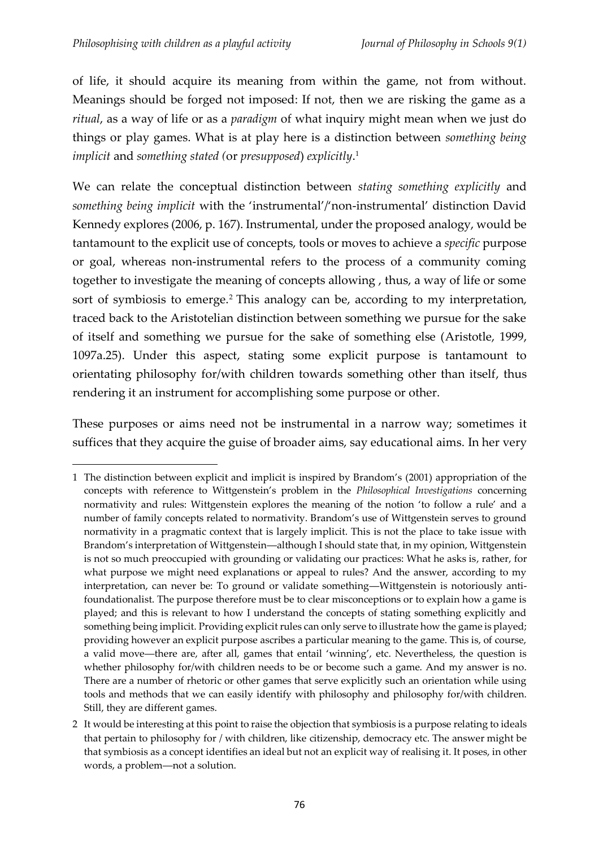of life, it should acquire its meaning from within the game, not from without. Meanings should be forged not imposed: If not, then we are risking the game as a *ritual*, as a way of life or as a *paradigm* of what inquiry might mean when we just do things or play games. What is at play here is a distinction between *something being implicit* and *something stated (*or *presupposed*) *explicitly*. 1

We can relate the conceptual distinction between *stating something explicitly* and *something being implicit* with the 'instrumental'/'non-instrumental' distinction David Kennedy explores (2006, p. 167). Instrumental, under the proposed analogy, would be tantamount to the explicit use of concepts, tools or moves to achieve a *specific* purpose or goal, whereas non-instrumental refers to the process of a community coming together to investigate the meaning of concepts allowing , thus, a way of life or some sort of symbiosis to emerge.<sup>2</sup> This analogy can be, according to my interpretation, traced back to the Aristotelian distinction between something we pursue for the sake of itself and something we pursue for the sake of something else (Aristotle, 1999, 1097a.25). Under this aspect, stating some explicit purpose is tantamount to orientating philosophy for/with children towards something other than itself, thus rendering it an instrument for accomplishing some purpose or other.

These purposes or aims need not be instrumental in a narrow way; sometimes it suffices that they acquire the guise of broader aims, say educational aims. In her very

<sup>1</sup> The distinction between explicit and implicit is inspired by Brandom's (2001) appropriation of the concepts with reference to Wittgenstein's problem in the *Philosophical Investigations* concerning normativity and rules: Wittgenstein explores the meaning of the notion 'to follow a rule' and a number of family concepts related to normativity. Brandom's use of Wittgenstein serves to ground normativity in a pragmatic context that is largely implicit. This is not the place to take issue with Brandom's interpretation of Wittgenstein―although I should state that, in my opinion, Wittgenstein is not so much preoccupied with grounding or validating our practices: What he asks is, rather, for what purpose we might need explanations or appeal to rules? And the answer, according to my interpretation, can never be: To ground or validate something―Wittgenstein is notoriously antifoundationalist. The purpose therefore must be to clear misconceptions or to explain how a game is played; and this is relevant to how I understand the concepts of stating something explicitly and something being implicit. Providing explicit rules can only serve to illustrate how the game is played; providing however an explicit purpose ascribes a particular meaning to the game. This is, of course, a valid move―there are, after all, games that entail 'winning', etc. Nevertheless, the question is whether philosophy for/with children needs to be or become such a game. And my answer is no. There are a number of rhetoric or other games that serve explicitly such an orientation while using tools and methods that we can easily identify with philosophy and philosophy for/with children. Still, they are different games.

<sup>2</sup> It would be interesting at this point to raise the objection that symbiosis is a purpose relating to ideals that pertain to philosophy for / with children, like citizenship, democracy etc. The answer might be that symbiosis as a concept identifies an ideal but not an explicit way of realising it. It poses, in other words, a problem―not a solution.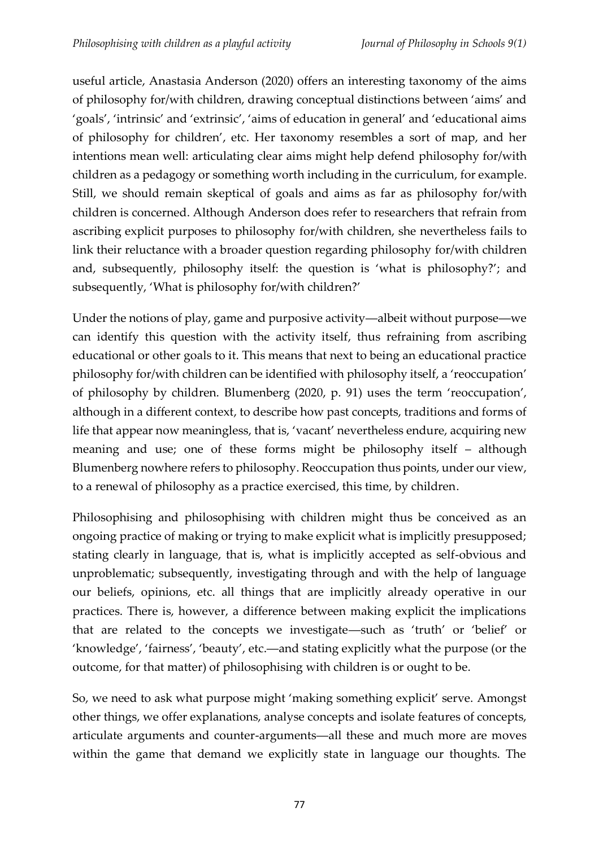useful article, Anastasia Anderson (2020) offers an interesting taxonomy of the aims of philosophy for/with children, drawing conceptual distinctions between 'aims' and 'goals', 'intrinsic' and 'extrinsic', 'aims of education in general' and 'educational aims of philosophy for children', etc. Her taxonomy resembles a sort of map, and her intentions mean well: articulating clear aims might help defend philosophy for/with children as a pedagogy or something worth including in the curriculum, for example. Still, we should remain skeptical of goals and aims as far as philosophy for/with children is concerned. Although Anderson does refer to researchers that refrain from ascribing explicit purposes to philosophy for/with children, she nevertheless fails to link their reluctance with a broader question regarding philosophy for/with children and, subsequently, philosophy itself: the question is 'what is philosophy?'; and subsequently, 'What is philosophy for/with children?'

Under the notions of play, game and purposive activity―albeit without purpose―we can identify this question with the activity itself, thus refraining from ascribing educational or other goals to it. This means that next to being an educational practice philosophy for/with children can be identified with philosophy itself, a 'reoccupation' of philosophy by children. Blumenberg (2020, p. 91) uses the term 'reoccupation', although in a different context, to describe how past concepts, traditions and forms of life that appear now meaningless, that is, 'vacant' nevertheless endure, acquiring new meaning and use; one of these forms might be philosophy itself – although Blumenberg nowhere refers to philosophy. Reoccupation thus points, under our view, to a renewal of philosophy as a practice exercised, this time, by children.

Philosophising and philosophising with children might thus be conceived as an ongoing practice of making or trying to make explicit what is implicitly presupposed; stating clearly in language, that is, what is implicitly accepted as self-obvious and unproblematic; subsequently, investigating through and with the help of language our beliefs, opinions, etc. all things that are implicitly already operative in our practices. There is, however, a difference between making explicit the implications that are related to the concepts we investigate―such as 'truth' or 'belief' or 'knowledge', 'fairness', 'beauty', etc.―and stating explicitly what the purpose (or the outcome, for that matter) of philosophising with children is or ought to be.

So, we need to ask what purpose might 'making something explicit' serve. Amongst other things, we offer explanations, analyse concepts and isolate features of concepts, articulate arguments and counter-arguments―all these and much more are moves within the game that demand we explicitly state in language our thoughts. The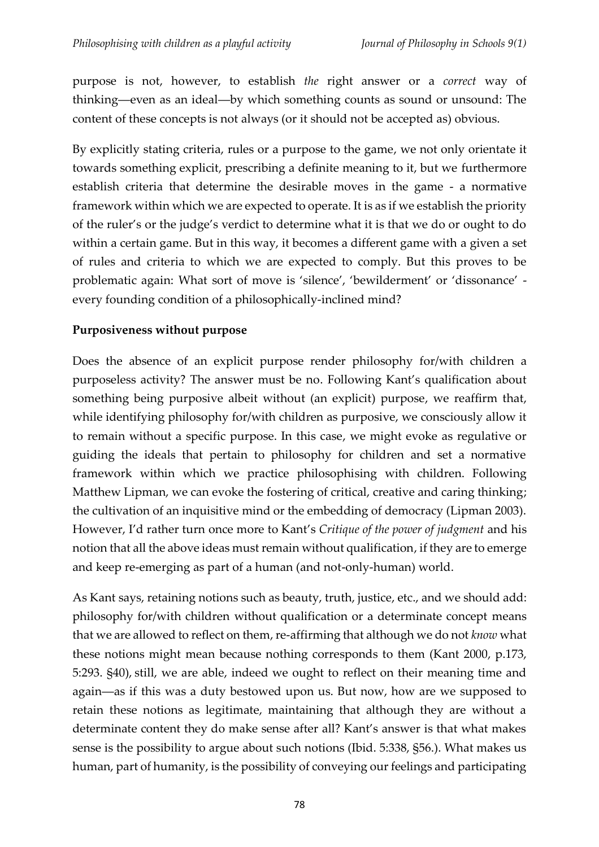purpose is not, however, to establish *the* right answer or a *correct* way of thinking―even as an ideal―by which something counts as sound or unsound: The content of these concepts is not always (or it should not be accepted as) obvious.

By explicitly stating criteria, rules or a purpose to the game, we not only orientate it towards something explicit, prescribing a definite meaning to it, but we furthermore establish criteria that determine the desirable moves in the game - a normative framework within which we are expected to operate. It is as if we establish the priority of the ruler's or the judge's verdict to determine what it is that we do or ought to do within a certain game. But in this way, it becomes a different game with a given a set of rules and criteria to which we are expected to comply. But this proves to be problematic again: What sort of move is 'silence', 'bewilderment' or 'dissonance' every founding condition of a philosophically-inclined mind?

## **Purposiveness without purpose**

Does the absence of an explicit purpose render philosophy for/with children a purposeless activity? The answer must be no. Following Kant's qualification about something being purposive albeit without (an explicit) purpose, we reaffirm that, while identifying philosophy for/with children as purposive, we consciously allow it to remain without a specific purpose. In this case, we might evoke as regulative or guiding the ideals that pertain to philosophy for children and set a normative framework within which we practice philosophising with children. Following Matthew Lipman, we can evoke the fostering of critical, creative and caring thinking; the cultivation of an inquisitive mind or the embedding of democracy (Lipman 2003). However, I'd rather turn once more to Kant's *Critique of the power of judgment* and his notion that all the above ideas must remain without qualification, if they are to emerge and keep re-emerging as part of a human (and not-only-human) world.

As Kant says, retaining notions such as beauty, truth, justice, etc., and we should add: philosophy for/with children without qualification or a determinate concept means that we are allowed to reflect on them, re-affirming that although we do not *know* what these notions might mean because nothing corresponds to them (Kant 2000, p.173, 5:293. §40), still, we are able, indeed we ought to reflect on their meaning time and again―as if this was a duty bestowed upon us. But now, how are we supposed to retain these notions as legitimate, maintaining that although they are without a determinate content they do make sense after all? Kant's answer is that what makes sense is the possibility to argue about such notions (Ibid. 5:338, §56.). What makes us human, part of humanity, is the possibility of conveying our feelings and participating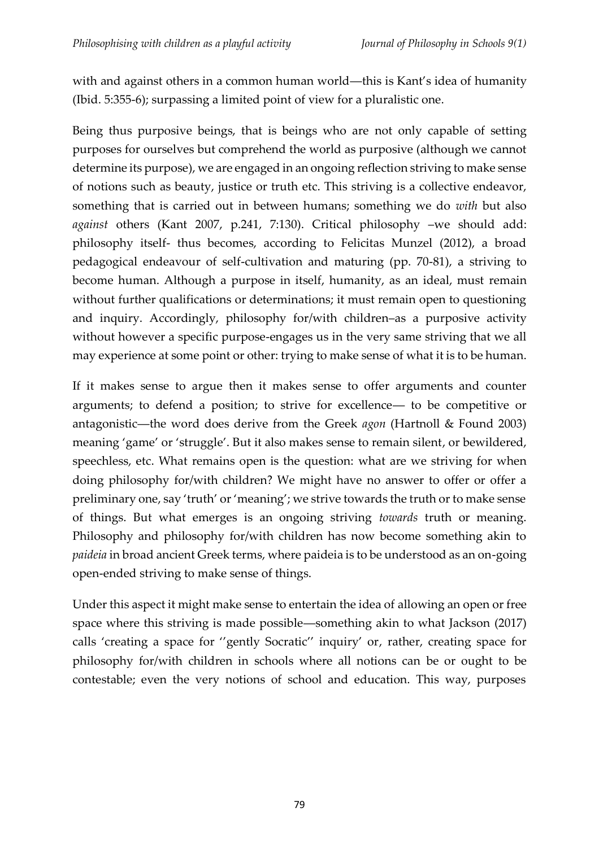with and against others in a common human world—this is Kant's idea of humanity (Ibid. 5:355-6); surpassing a limited point of view for a pluralistic one.

Being thus purposive beings, that is beings who are not only capable of setting purposes for ourselves but comprehend the world as purposive (although we cannot determine its purpose), we are engaged in an ongoing reflection striving to make sense of notions such as beauty, justice or truth etc. This striving is a collective endeavor, something that is carried out in between humans; something we do *with* but also *against* others (Kant 2007, p.241, 7:130). Critical philosophy –we should add: philosophy itself- thus becomes, according to Felicitas Munzel (2012), a broad pedagogical endeavour of self-cultivation and maturing (pp. 70-81), a striving to become human. Although a purpose in itself, humanity, as an ideal, must remain without further qualifications or determinations; it must remain open to questioning and inquiry. Accordingly, philosophy for/with children–as a purposive activity without however a specific purpose-engages us in the very same striving that we all may experience at some point or other: trying to make sense of what it is to be human.

If it makes sense to argue then it makes sense to offer arguments and counter arguments; to defend a position; to strive for excellence― to be competitive or antagonistic―the word does derive from the Greek *agon* (Hartnoll & Found 2003) meaning 'game' or 'struggle'. But it also makes sense to remain silent, or bewildered, speechless, etc. What remains open is the question: what are we striving for when doing philosophy for/with children? We might have no answer to offer or offer a preliminary one, say 'truth' or 'meaning'; we strive towards the truth or to make sense of things. But what emerges is an ongoing striving *towards* truth or meaning. Philosophy and philosophy for/with children has now become something akin to *paideia* in broad ancient Greek terms, where paideia is to be understood as an on-going open-ended striving to make sense of things.

Under this aspect it might make sense to entertain the idea of allowing an open or free space where this striving is made possible―something akin to what Jackson (2017) calls 'creating a space for ''gently Socratic'' inquiry' or, rather, creating space for philosophy for/with children in schools where all notions can be or ought to be contestable; even the very notions of school and education. This way, purposes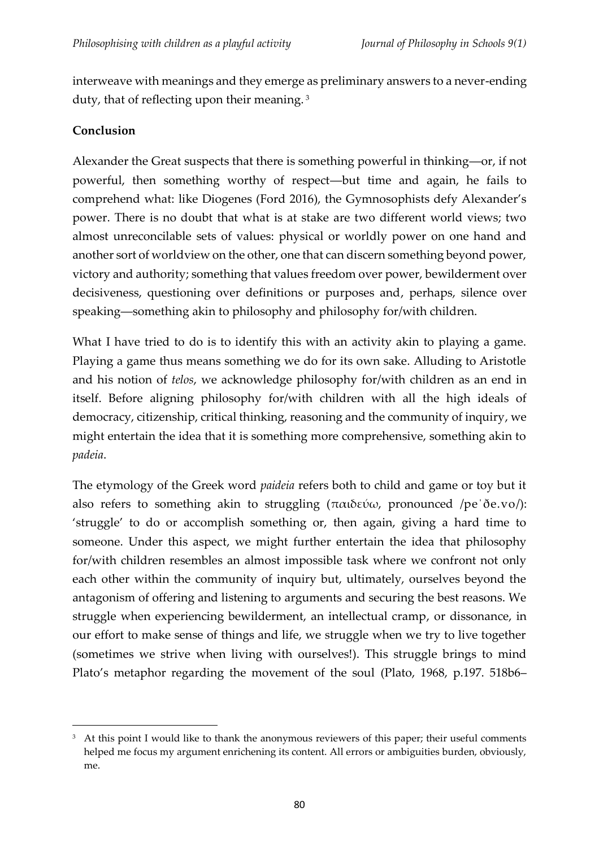interweave with meanings and they emerge as preliminary answers to a never-ending duty, that of reflecting upon their meaning. <sup>3</sup>

# **Conclusion**

Alexander the Great suspects that there is something powerful in thinking―or, if not powerful, then something worthy of respect―but time and again, he fails to comprehend what: like Diogenes (Ford 2016), the Gymnosophists defy Alexander's power. Τhere is no doubt that what is at stake are two different world views; two almost unreconcilable sets of values: physical or worldly power on one hand and another sort of worldview on the other, one that can discern something beyond power, victory and authority; something that values freedom over power, bewilderment over decisiveness, questioning over definitions or purposes and, perhaps, silence over speaking―something akin to philosophy and philosophy for/with children.

What I have tried to do is to identify this with an activity akin to playing a game. Playing a game thus means something we do for its own sake. Alluding to Aristotle and his notion of *telos*, we acknowledge philosophy for/with children as an end in itself. Before aligning philosophy for/with children with all the high ideals of democracy, citizenship, critical thinking, reasoning and the community of inquiry, we might entertain the idea that it is something more comprehensive, something akin to *padeia*.

The etymology of the Greek word *paideia* refers both to child and game or toy but it also refers to something akin to struggling (παιδεύω, pronounced /pe<sup>'</sup>[ðe.vo/](https://el.wiktionary.org/wiki/%CE%A0%CE%B1%CF%81%CE%AC%CF%81%CF%84%CE%B7%CE%BC%CE%B1:%CE%A0%CF%81%CE%BF%CF%86%CE%BF%CF%81%CE%AC/%CE%BD%CE%AD%CE%B1_%CE%B5%CE%BB%CE%BB%CE%B7%CE%BD%CE%B9%CE%BA%CE%AC)): 'struggle' to do or accomplish something or, then again, giving a hard time to someone. Under this aspect, we might further entertain the idea that philosophy for/with children resembles an almost impossible task where we confront not only each other within the community of inquiry but, ultimately, ourselves beyond the antagonism of offering and listening to arguments and securing the best reasons. We struggle when experiencing bewilderment, an intellectual cramp, or dissonance, in our effort to make sense of things and life, we struggle when we try to live together (sometimes we strive when living with ourselves!). This struggle brings to mind Plato's metaphor regarding the movement of the soul (Plato, 1968, p.197. 518b6–

<sup>&</sup>lt;sup>3</sup> At this point I would like to thank the anonymous reviewers of this paper; their useful comments helped me focus my argument enrichening its content. All errors or ambiguities burden, obviously, me.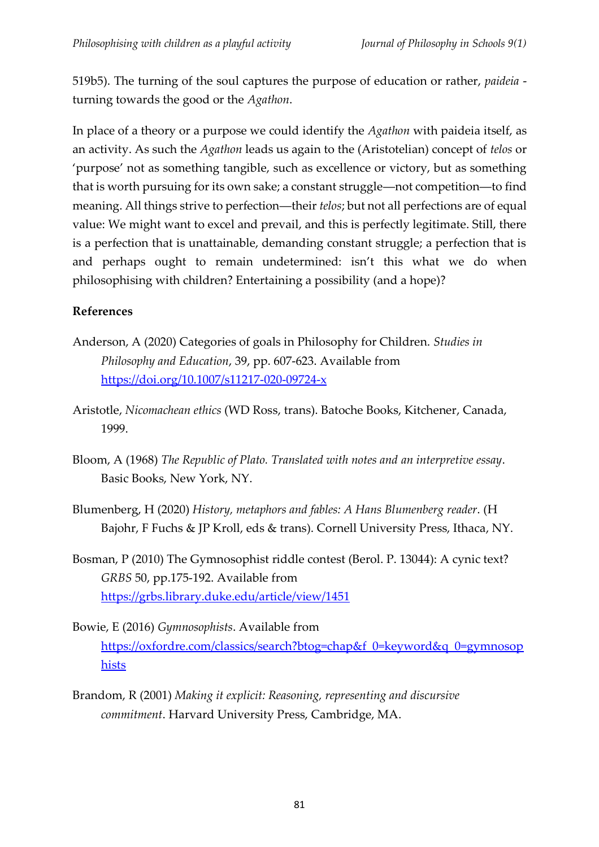519b5). The turning of the soul captures the purpose of education or rather, *paideia* turning towards the good or the *Agathon*.

In place of a theory or a purpose we could identify the *Agathon* with paideia itself, as an activity. As such the *Agathon* leads us again to the (Aristotelian) concept of *telos* or 'purpose' not as something tangible, such as excellence or victory, but as something that is worth pursuing for its own sake; a constant struggle―not competition―to find meaning. All things strive to perfection―their *telos*; but not all perfections are of equal value: We might want to excel and prevail, and this is perfectly legitimate. Still, there is a perfection that is unattainable, demanding constant struggle; a perfection that is and perhaps ought to remain undetermined: isn't this what we do when philosophising with children? Entertaining a possibility (and a hope)?

## **References**

- Anderson, A (2020) Categories of goals in Philosophy for Children. *Studies in Philosophy and Education*, 39, pp. 607-623. Available from <https://doi.org/10.1007/s11217-020-09724-x>
- Aristotle, *Nicomachean ethics* (WD Ross, trans). Batoche Books, Kitchener, Canada, 1999.
- Bloom, A (1968) *The Republic of Plato. Translated with notes and an interpretive essay*. Basic Books, New York, NY.
- Blumenberg, H (2020) *History, metaphors and fables: A Hans Blumenberg reader*. (H Bajohr, F Fuchs & JP Kroll, eds & trans). Cornell University Press, Ithaca, NY.
- Bosman, P (2010) The Gymnosophist riddle contest (Berol. P. 13044): A cynic text? *GRBS* 50, pp.175-192. Available from <https://grbs.library.duke.edu/article/view/1451>
- Bowie, E (2016) *Gymnosophists*. Available from [https://oxfordre.com/classics/search?btog=chap&f\\_0=keyword&q\\_0=gymnosop](https://oxfordre.com/classics/search?btog=chap&f_0=keyword&q_0=gymnosophists) [hists](https://oxfordre.com/classics/search?btog=chap&f_0=keyword&q_0=gymnosophists)
- Brandom, R (2001) *Making it explicit: Reasoning, representing and discursive commitment*. Harvard University Press, Cambridge, MA.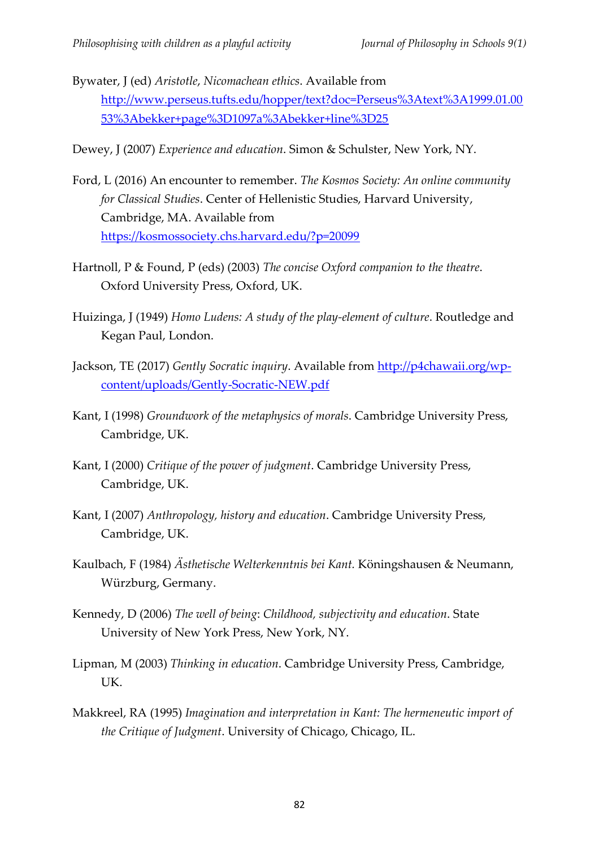- Bywater, J (ed) *Aristotle*, *Nicomachean ethics*. Available from [http://www.perseus.tufts.edu/hopper/text?doc=Perseus%3Atext%3A1999.01.00](http://www.perseus.tufts.edu/hopper/text?doc=Perseus%3Atext%3A1999.01.0053%3Abekker+page%3D1097a%3Abekker+line%3D25) [53%3Abekker+page%3D1097a%3Abekker+line%3D25](http://www.perseus.tufts.edu/hopper/text?doc=Perseus%3Atext%3A1999.01.0053%3Abekker+page%3D1097a%3Abekker+line%3D25)
- Dewey, J (2007) *Experience and education*. Simon & Schulster, New York, NY.
- Ford, L (2016) An encounter to remember. *The Kosmos Society: An online community for Classical Studies*. Center of Hellenistic Studies, Harvard University, Cambridge, MA. Available from <https://kosmossociety.chs.harvard.edu/?p=20099>
- Hartnoll, P & Found, P (eds) (2003) *The concise Oxford companion to the theatre*. Oxford University Press, Oxford, UK.
- Huizinga, J (1949) *Homo Ludens: A study of the play-element of culture*. Routledge and Kegan Paul, London.
- Jackson, TE (2017) *Gently Socratic inquiry*. Available from [http://p4chawaii.org/wp](http://p4chawaii.org/wp-content/uploads/Gently-Socratic-NEW.pdf)[content/uploads/Gently-Socratic-NEW.pdf](http://p4chawaii.org/wp-content/uploads/Gently-Socratic-NEW.pdf)
- Kant, I (1998) *Groundwork of the metaphysics of morals*. Cambridge University Press, Cambridge, UK.
- Kant, I (2000) *Critique of the power of judgment*. Cambridge University Press, Cambridge, UK.
- Kant, I (2007) *Anthropology, history and education*. Cambridge University Press, Cambridge, UK.
- Kaulbach, F (1984) *Ästhetische Welterkenntnis bei Kant.* Köningshausen & Neumann, Würzburg, Germany.
- Kennedy, D (2006) *The well of being*: *Childhood, subjectivity and education*. State University of New York Press, New York, NY.
- Lipman, M (2003) *Thinking in education*. Cambridge University Press, Cambridge, UK.
- Makkreel, RA (1995) *Imagination and interpretation in Kant: The hermeneutic import of the Critique of Judgment*. University of Chicago, Chicago, IL.